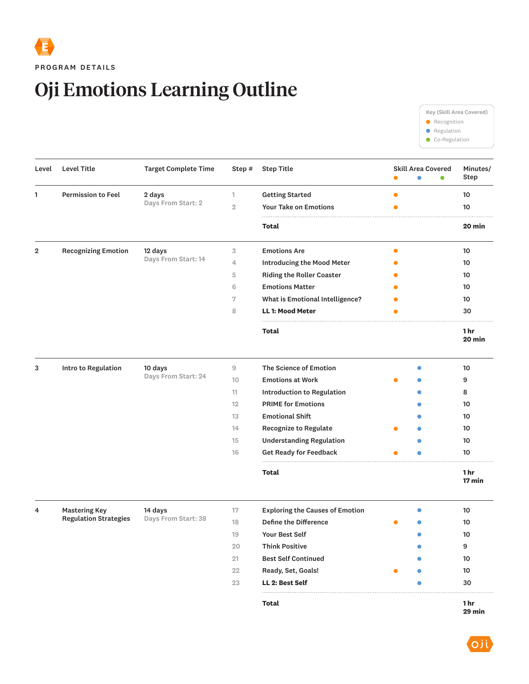

## Oji Emotions Learning Outline



| Level          | Level Title                                          | <b>Target Complete Time</b>    | Step #         | <b>Step Title</b>                      | $\bullet$ | <b>Skill Area Covered</b><br>$\bullet$ | $\bullet$ | Minutes/<br><b>Step</b>     |
|----------------|------------------------------------------------------|--------------------------------|----------------|----------------------------------------|-----------|----------------------------------------|-----------|-----------------------------|
| 1              | <b>Permission to Feel</b>                            | 2 days<br>Days From Start: 2   | 1              | <b>Getting Started</b>                 | $\bullet$ |                                        |           | 10                          |
|                |                                                      |                                | $\overline{2}$ | <b>Your Take on Emotions</b>           | $\bullet$ |                                        |           | 10                          |
|                |                                                      |                                |                | Total                                  |           |                                        |           | 20 min                      |
| $\overline{2}$ | <b>Recognizing Emotion</b>                           | 12 days<br>Days From Start: 14 | 3              | <b>Emotions Are</b>                    | $\bullet$ |                                        |           | 10                          |
|                |                                                      |                                | 4              | <b>Introducing the Mood Meter</b>      |           |                                        |           | 10                          |
|                |                                                      |                                | 5              | <b>Riding the Roller Coaster</b>       |           |                                        |           | 10                          |
|                |                                                      |                                | 6              | <b>Emotions Matter</b>                 |           |                                        |           | 10                          |
|                |                                                      |                                | 7              | What is Emotional Intelligence?        |           |                                        |           | 10                          |
|                |                                                      |                                | 8              | <b>LL 1: Mood Meter</b>                | €         |                                        |           | 30                          |
|                |                                                      |                                |                | <b>Total</b>                           |           |                                        |           | 1 <sub>hr</sub><br>20 min   |
| 3              | Intro to Regulation                                  | 10 days<br>Days From Start: 24 | 9              | The Science of Emotion                 |           |                                        |           | 10                          |
|                |                                                      |                                | 10             | <b>Emotions at Work</b>                |           |                                        |           | 9                           |
|                |                                                      |                                | 11             | Introduction to Regulation             |           |                                        |           | 8                           |
|                |                                                      |                                | 12             | <b>PRIME for Emotions</b>              |           |                                        |           | 10                          |
|                |                                                      |                                | 13             | <b>Emotional Shift</b>                 |           |                                        |           | 10                          |
|                |                                                      |                                | 14             | Recognize to Regulate                  |           |                                        |           | 10                          |
|                |                                                      |                                | 15             | <b>Understanding Regulation</b>        |           |                                        |           | 10                          |
|                |                                                      |                                | 16             | <b>Get Ready for Feedback</b>          |           |                                        |           | 10                          |
|                |                                                      |                                |                | <b>Total</b>                           |           |                                        |           | 1 <sub>hr</sub><br>$17$ min |
| 4              | <b>Mastering Key</b><br><b>Regulation Strategies</b> | 14 days<br>Days From Start: 38 | 17             | <b>Exploring the Causes of Emotion</b> |           |                                        |           | 10                          |
|                |                                                      |                                | 18             | <b>Define the Difference</b>           |           |                                        |           | 10                          |
|                |                                                      |                                | 19             | <b>Your Best Self</b>                  |           |                                        |           | 10                          |
|                |                                                      |                                | 20             | <b>Think Positive</b>                  |           |                                        |           | 9                           |
|                |                                                      |                                | 21             | <b>Best Self Continued</b>             |           |                                        |           | 10                          |
|                |                                                      |                                | 22             | Ready, Set, Goals!                     |           |                                        |           | 10                          |
|                |                                                      |                                | 23             | LL 2: Best Self                        |           |                                        |           | 30                          |
|                |                                                      |                                |                | Total                                  |           |                                        |           | 1 <sub>hr</sub>             |

**1 hr 29 min**

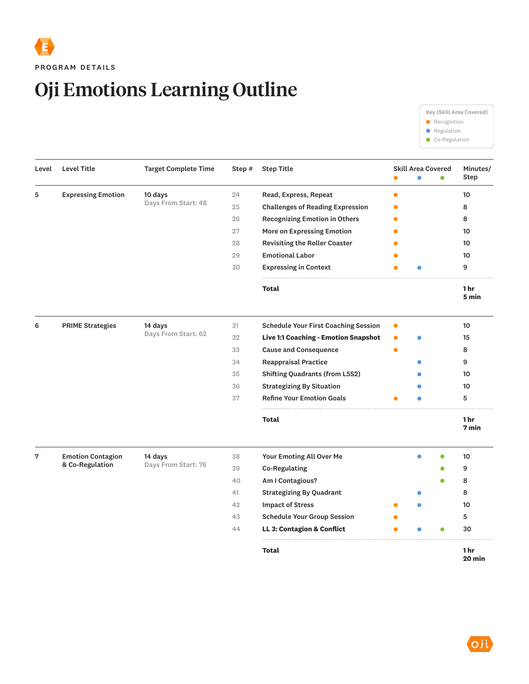## Oji Emotions Learning Outline

Key (Skill Area Covered) **Recognition e** Regulation  $\bullet$  Co-Regulation

| Level | <b>Level Title</b>                                        | <b>Target Complete Time</b>    | Step # | <b>Step Title</b>                           | <b>Skill Area Covered</b> |   | Minutes/<br>Step         |
|-------|-----------------------------------------------------------|--------------------------------|--------|---------------------------------------------|---------------------------|---|--------------------------|
| 5     | <b>Expressing Emotion</b>                                 | 10 days<br>Days From Start: 48 | 24     | Read, Express, Repeat                       |                           |   | 10                       |
|       |                                                           |                                | 25     | <b>Challenges of Reading Expression</b>     |                           |   | 8                        |
|       |                                                           |                                | 26     | <b>Recognizing Emotion in Others</b>        |                           |   | 8                        |
|       |                                                           |                                | 27     | More on Expressing Emotion                  |                           |   | 10                       |
|       |                                                           |                                | 28     | <b>Revisiting the Roller Coaster</b>        |                           |   | 10                       |
|       |                                                           |                                | 29     | <b>Emotional Labor</b>                      |                           |   | 10                       |
|       |                                                           |                                | 30     | <b>Expressing in Context</b>                |                           |   | 9                        |
|       |                                                           |                                |        | <b>Total</b>                                |                           |   | 1 hr<br>5 min            |
| 6     | <b>PRIME Strategies</b><br>14 days<br>Days From Start: 62 |                                | 31     | <b>Schedule Your First Coaching Session</b> |                           |   | 10                       |
|       |                                                           |                                | 32     | Live 1:1 Coaching - Emotion Snapshot        |                           |   | 15                       |
|       |                                                           |                                | 33     | <b>Cause and Consequence</b>                |                           |   | 8                        |
|       |                                                           |                                | 34     | <b>Reappraisal Practice</b>                 |                           |   | 9                        |
|       |                                                           |                                | 35     | <b>Shifting Quadrants (from L5S2)</b>       |                           |   | 10                       |
|       |                                                           |                                | 36     | <b>Strategizing By Situation</b>            |                           |   | 10                       |
|       |                                                           |                                | 37     | <b>Refine Your Emotion Goals</b>            |                           |   | 5                        |
|       |                                                           |                                |        | <b>Total</b>                                |                           |   | 1 <sub>hr</sub><br>7 min |
| 7     | <b>Emotion Contagion</b><br>14 days<br>& Co-Regulation    | Days From Start: 76            | 38     | Your Emoting All Over Me                    |                           | ٠ | 10                       |
|       |                                                           |                                | 39     | <b>Co-Regulating</b>                        |                           |   | 9                        |
|       |                                                           |                                | 40     | Am I Contagious?                            |                           |   | 8                        |
|       |                                                           |                                | 41     | <b>Strategizing By Quadrant</b>             |                           |   | 8                        |
|       |                                                           |                                | 42     | <b>Impact of Stress</b>                     |                           |   | 10                       |
|       |                                                           |                                | 43     | <b>Schedule Your Group Session</b>          |                           |   | 5                        |
|       |                                                           |                                | 44     | <b>LL 3: Contagion &amp; Conflict</b>       |                           |   | 30                       |
|       |                                                           |                                |        | <b>Total</b>                                |                           |   | 1 hr<br>20 min           |